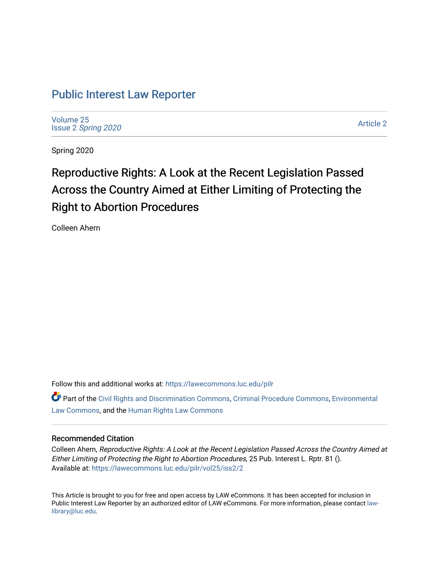# [Public Interest Law Reporter](https://lawecommons.luc.edu/pilr)

[Volume 25](https://lawecommons.luc.edu/pilr/vol25) Issue 2 [Spring 2020](https://lawecommons.luc.edu/pilr/vol25/iss2) 

[Article 2](https://lawecommons.luc.edu/pilr/vol25/iss2/2) 

Spring 2020

# Reproductive Rights: A Look at the Recent Legislation Passed Across the Country Aimed at Either Limiting of Protecting the Right to Abortion Procedures

Colleen Ahern

Follow this and additional works at: [https://lawecommons.luc.edu/pilr](https://lawecommons.luc.edu/pilr?utm_source=lawecommons.luc.edu%2Fpilr%2Fvol25%2Fiss2%2F2&utm_medium=PDF&utm_campaign=PDFCoverPages) 

Part of the [Civil Rights and Discrimination Commons,](http://network.bepress.com/hgg/discipline/585?utm_source=lawecommons.luc.edu%2Fpilr%2Fvol25%2Fiss2%2F2&utm_medium=PDF&utm_campaign=PDFCoverPages) [Criminal Procedure Commons,](http://network.bepress.com/hgg/discipline/1073?utm_source=lawecommons.luc.edu%2Fpilr%2Fvol25%2Fiss2%2F2&utm_medium=PDF&utm_campaign=PDFCoverPages) [Environmental](http://network.bepress.com/hgg/discipline/599?utm_source=lawecommons.luc.edu%2Fpilr%2Fvol25%2Fiss2%2F2&utm_medium=PDF&utm_campaign=PDFCoverPages)  [Law Commons,](http://network.bepress.com/hgg/discipline/599?utm_source=lawecommons.luc.edu%2Fpilr%2Fvol25%2Fiss2%2F2&utm_medium=PDF&utm_campaign=PDFCoverPages) and the [Human Rights Law Commons](http://network.bepress.com/hgg/discipline/847?utm_source=lawecommons.luc.edu%2Fpilr%2Fvol25%2Fiss2%2F2&utm_medium=PDF&utm_campaign=PDFCoverPages)

### Recommended Citation

Colleen Ahern, Reproductive Rights: A Look at the Recent Legislation Passed Across the Country Aimed at Either Limiting of Protecting the Right to Abortion Procedures, 25 Pub. Interest L. Rptr. 81 (). Available at: [https://lawecommons.luc.edu/pilr/vol25/iss2/2](https://lawecommons.luc.edu/pilr/vol25/iss2/2?utm_source=lawecommons.luc.edu%2Fpilr%2Fvol25%2Fiss2%2F2&utm_medium=PDF&utm_campaign=PDFCoverPages)

This Article is brought to you for free and open access by LAW eCommons. It has been accepted for inclusion in Public Interest Law Reporter by an authorized editor of LAW eCommons. For more information, please contact [law](mailto:law-library@luc.edu)[library@luc.edu.](mailto:law-library@luc.edu)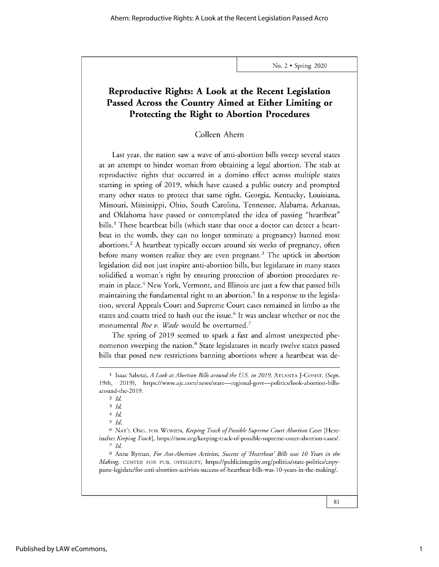No. 2 \* Spring 2020

## **Reproductive Rights: A Look at the Recent Legislation Passed Across the Country Aimed at Either Limiting or Protecting the Right to Abortion Procedures**

### Colleen Ahern

Last year, the nation saw a wave of anti-abortion bills sweep several states at an attempt to hinder woman from obtaining a legal abortion. The stab at reproductive rights that occurred in a domino effect across multiple states starting in spring of 2019, which have caused a public outcry and prompted many other states to protect that same right. Georgia, Kentucky, Louisiana, Missouri, Mississippi, Ohio, South Carolina, Tennessee, Alabama, Arkansas, and Oklahoma have passed or contemplated the idea of passing "heartbeat" bills.<sup>1</sup> These heartbeat bills (which state that once a doctor can detect a heartbeat in the womb, they can no longer terminate a pregnancy) banned most abortions.<sup>2</sup> A heartbeat typically occurs around six weeks of pregnancy, often before many women realize they are even pregnant.<sup>3</sup> The uptick in abortion legislation did not just inspire anti-abortion bills, but legislature in many states solidified a woman's right by ensuring protection of abortion procedures remain in place.<sup>4</sup> New York, Vermont, and Illinois are just a few that passed bills maintaining the fundamental right to an abortion.<sup>5</sup> In a response to the legislation, several Appeals Court and Supreme Court cases remained in limbo as the states and courts tried to hash out the issue.<sup>6</sup> It was unclear whether or not the monumental *Roe v. Wade* would be overturned. <sup>7</sup>

The spring of 2019 seemed to spark a fast and almost unexpected phenomenon sweeping the nation.<sup>8</sup> State legislatures in nearly twelve states passed bills that posed new restrictions banning abortions where a heartbeat was de-

<sup>4</sup>*Id*

**<sup>1</sup>** Isaac Sabetai, *A Look at Abortion Bills around the US. in 2019,* ATLANTA J-CONST. (Sept. 19th, 2019), https://www.ajc.com/news/state-regional-govt-politics/look-abortion-billsaround-the-2019.

*<sup>2</sup>Id*

<sup>3</sup>*Id*

*<sup>5</sup> Id.*

<sup>6</sup> NAT'L ORG. FOR WOMEN, *Keeping Track ofPossible Supreme Court Abortion Cases* [Hereinafter *Keeping Track],* https://now.org/keeping-track-of-possible-supreme-court-abortion-cases/. *7 Id*

**<sup>8</sup>**Anne Ryman, *For Ant-Abortion Activists, Success of Heartbeat' Bills was 10 Years in the Making,* CENTER FOR PUB. INTEGRITY, https://publicintegrity.org/politics/state-politics/copypaste-legislate/for-anti-abortion-activists-success-of-heartbeat-bills-was-10-years-in-the-making/.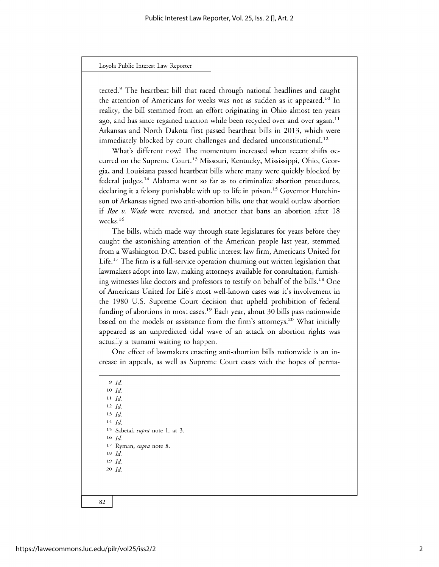#### Loyola Public **Interest** Law Reporter

tected.<sup>9</sup> The heartbeat bill that raced through national headlines and caught the attention of Americans for weeks was not as sudden as it appeared.<sup>10</sup> In reality, the bill stemmed from an effort originating in Ohio almost ten years ago, and has since regained traction while been recycled over and over again.<sup>11</sup> Arkansas and North Dakota first passed heartbeat bills in 2013, which were immediately blocked by court challenges and declared unconstitutional.<sup>12</sup>

What's different now? The momentum increased when recent shifts occurred on the Supreme Court. **13** Missouri, Kentucky, Mississippi, Ohio, Georgia, and Louisiana passed heartbeat bills where many were quickly blocked by federal judges.14 Alabama went so far as to criminalize abortion procedures, declaring it a felony punishable with up to life in prison.<sup>15</sup> Governor Hutchinson of Arkansas signed two anti-abortion bills, one that would outlaw abortion if *Roe v. Wade* were reversed, and another that bans an abortion after 18 weeks. **<sup>16</sup>**

The bills, which made way through state legislatures for years before they caught the astonishing attention of the American people last year, stemmed from a Washington D.C. based public interest law firm, Americans United for Life.<sup>17</sup> The firm is a full-service operation churning out written legislation that lawmakers adopt into law, making attorneys available for consultation, furnishing witnesses like doctors and professors to testify on behalf of the bills.<sup>18</sup> One of Americans United for Life's most well-known cases was it's involvement in the 1980 U.S. Supreme Court decision that upheld prohibition of federal funding of abortions in most cases.<sup>19</sup> Each year, about 30 bills pass nationwide based on the models or assistance from the firm's attorneys.<sup>20</sup> What initially appeared as an unpredicted tidal wave of an attack on abortion rights was actually a tsunami waiting to happen.

One effect of lawmakers enacting anti-abortion bills nationwide is an increase in appeals, as well as Supreme Court cases with the hopes of perma-

*<sup>9</sup>Id* **<sup>10</sup>***Id* **<sup>11</sup>***Id* **<sup>12</sup>***Id* **<sup>13</sup>***Id* **<sup>14</sup>***Id.* **<sup>15</sup>**Sabetai, *supra* note 1, at 3. **<sup>16</sup>***Id* **17** Ryman, *supra* note 8. **<sup>18</sup>***Id* **<sup>19</sup>***Id* **<sup>20</sup>***Id*

82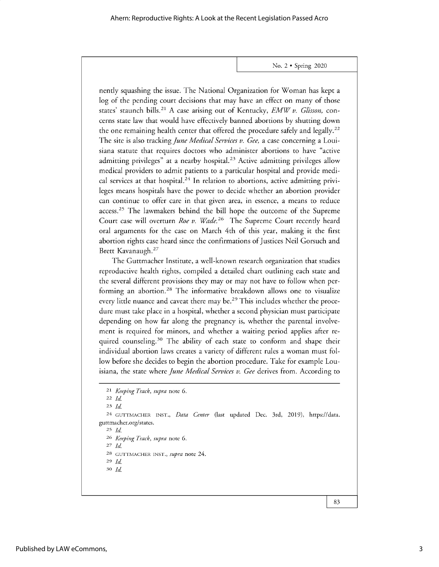No. 2 \* Spring 2020

nently squashing the issue. The National Organization for Woman has kept a log of the pending court decisions that may have an effect on many of those states' staunch bills.<sup>21</sup> A case arising out of Kentucky, *EMW v. Glisson*, concerns state law that would have effectively banned abortions by shutting down the one remaining health center that offered the procedure safely and legally.<sup>22</sup> The site is also tracking *June Medical Services v. Gee,* a case concerning a Louisiana statute that requires doctors who administer abortions to have "active admitting privileges" at a nearby hospital.<sup>23</sup> Active admitting privileges allow medical providers to admit patients to a particular hospital and provide medical services at that hospital.<sup>24</sup> In relation to abortions, active admitting privileges means hospitals have the power to decide whether an abortion provider can continue to offer care in that given area, in essence, a means to reduce access.<sup>25</sup> The lawmakers behind the bill hope the outcome of the Supreme Court case will overturn *Roe v. Wade*.<sup>26</sup> The Supreme Court recently heard oral arguments for the case on March 4th of this year, making it the first abortion rights case heard since the confirmations of Justices Neil Gorsuch and Brett Kavanaugh. <sup>27</sup>

The Guttmacher Institute, a well-known research organization that studies reproductive health rights, compiled a detailed chart outlining each state and the several different provisions they may or may not have to follow when performing an abortion.<sup>28</sup> The informative breakdown allows one to visualize every little nuance and caveat there may be.<sup>29</sup> This includes whether the procedure must take place in a hospital, whether a second physician must participate depending on how far along the pregnancy is, whether the parental involvement is required for minors, and whether a waiting period applies after required counseling.<sup>30</sup> The ability of each state to conform and shape their individual abortion laws creates a variety of different rules a woman must follow before she decides to begin the abortion procedure. Take for example Louisiana, the state where *June Medical Services v. Gee* derives from. According to

<sup>25</sup>*Id*

26 *Keeping Track, supra* note 6.

<sup>27</sup>*Id* 28 GUTTMACHER INST., *supra* note 24.

<sup>29</sup>*Id*

*30 Id*

83

<sup>21</sup> *Keeping Track, supra* note 6.

<sup>22</sup>*Id*

*<sup>23</sup>Id*

<sup>24</sup> GUTTMACHER INST., *Data Center* (last updated Dec. 3rd, 2019), https://data. guttmacher.org/states.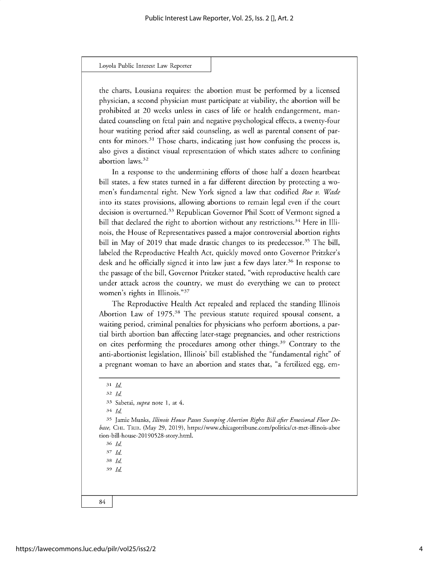#### Loyola Public **Interest** Law Reporter

the charts, Lousiana requires: the abortion must be performed by a licensed physician, a second physician must participate at viability, the abortion will be prohibited at 20 weeks unless in cases of life or health endangerment, mandated counseling on fetal pain and negative psychological effects, a twenty-four hour watiting period after said counseling, as well as parental consent of parents for minors.<sup>31</sup> Those charts, indicating just how confusing the process is, also gives a distinct visual representation of which states adhere to confining abortion laws.3<sup>2</sup>

In a response to the undermining efforts of those half a dozen heartbeat bill states, a few states turned in a far different direction by protecting a women's fundamental right. New York signed a law that codified *Roe v. Wade* into its states provisions, allowing abortions to remain legal even if the court decision is overturned.<sup>33</sup> Republican Governor Phil Scott of Vermont signed a bill that declared the right to abortion without any restrictions.<sup>34</sup> Here in Illinois, the House of Representatives passed a major controversial abortion rights bill in May of 2019 that made drastic changes to its predecessor.<sup>35</sup> The bill, labeled the Reproductive Health Act, quickly moved onto Governor Pritzker's desk and he officially signed it into law just a few days later.<sup>36</sup> In response to the passage of the bill, Governor Pritzker stated, "with reproductive health care under attack across the country, we must do everything we can to protect women's rights in Illinois."<sup>37</sup>

The Reproductive Health Act repealed and replaced the standing Illinois Abortion Law of 1975.<sup>38</sup> The previous statute required spousal consent, a waiting period, criminal penalties for physicians who perform abortions, a partial birth abortion ban affecting later-stage pregnancies, and other restrictions on cites performing the procedures among other things.<sup>39</sup> Contrary to the anti-abortionist legislation, Illinois' bill established the "fundamental right" of a pregnant woman to have an abortion and states that, "a fertilized egg, em-

*<sup>32</sup>Id*

33 Sabetai, *supra* note 1, at 4.

*<sup>34</sup>Id*

35 Jamie Munks, *Illinois House Passes Sweeping Abortion Rights Bill after Emotional Floor Debate,* CHI. TRIB. (May 29, 2019), https://www.chicagotribune.com/politics/ct-met-illinois-abor tion-bill-house-20190528-story.html.

*<sup>36</sup>Id*

37 *Id <sup>38</sup>Id*

<sup>39</sup>*Id*

84

*<sup>31</sup>Id*